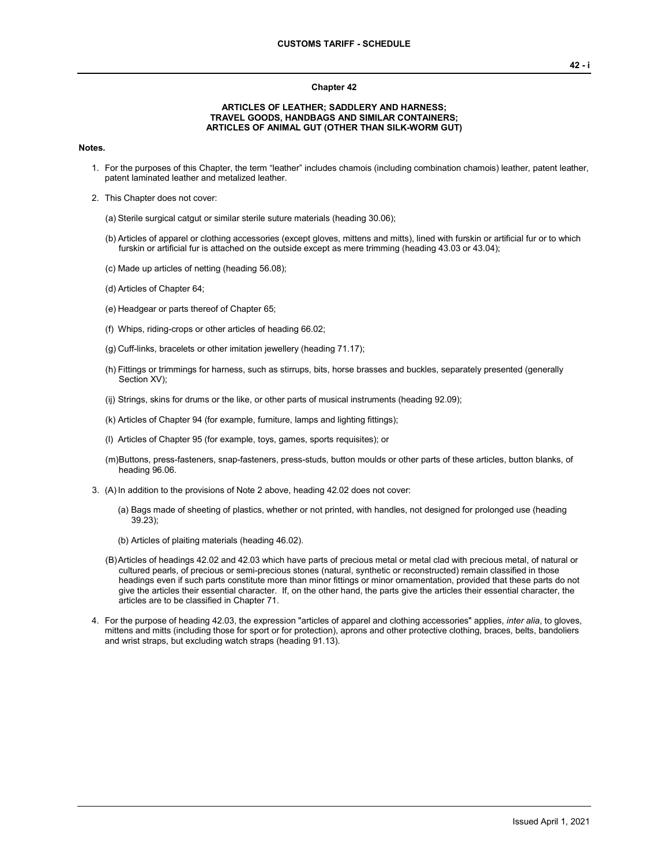## **Chapter 42**

## **ARTICLES OF LEATHER; SADDLERY AND HARNESS; TRAVEL GOODS, HANDBAGS AND SIMILAR CONTAINERS; ARTICLES OF ANIMAL GUT (OTHER THAN SILK-WORM GUT)**

## **Notes.**

- 1. For the purposes of this Chapter, the term "leather" includes chamois (including combination chamois) leather, patent leather, patent laminated leather and metalized leather.
- 2. This Chapter does not cover:
	- (a) Sterile surgical catgut or similar sterile suture materials (heading 30.06);
	- (b) Articles of apparel or clothing accessories (except gloves, mittens and mitts), lined with furskin or artificial fur or to which furskin or artificial fur is attached on the outside except as mere trimming (heading 43.03 or 43.04);
	- (c) Made up articles of netting (heading 56.08);
	- (d) Articles of Chapter 64;
	- (e) Headgear or parts thereof of Chapter 65;
	- (f) Whips, riding-crops or other articles of heading 66.02;
	- (g) Cuff-links, bracelets or other imitation jewellery (heading 71.17);
	- (h) Fittings or trimmings for harness, such as stirrups, bits, horse brasses and buckles, separately presented (generally Section XV);
	- (ij) Strings, skins for drums or the like, or other parts of musical instruments (heading 92.09);
	- (k) Articles of Chapter 94 (for example, furniture, lamps and lighting fittings);
	- (l) Articles of Chapter 95 (for example, toys, games, sports requisites); or
	- (m)Buttons, press-fasteners, snap-fasteners, press-studs, button moulds or other parts of these articles, button blanks, of heading 96.06.
- 3. (A)In addition to the provisions of Note 2 above, heading 42.02 does not cover:
	- (a) Bags made of sheeting of plastics, whether or not printed, with handles, not designed for prolonged use (heading 39.23);
	- (b) Articles of plaiting materials (heading 46.02).
	- (B)Articles of headings 42.02 and 42.03 which have parts of precious metal or metal clad with precious metal, of natural or cultured pearls, of precious or semi-precious stones (natural, synthetic or reconstructed) remain classified in those headings even if such parts constitute more than minor fittings or minor ornamentation, provided that these parts do not give the articles their essential character. If, on the other hand, the parts give the articles their essential character, the articles are to be classified in Chapter 71.
- 4. For the purpose of heading 42.03, the expression "articles of apparel and clothing accessories" applies, *inter alia*, to gloves, mittens and mitts (including those for sport or for protection), aprons and other protective clothing, braces, belts, bandoliers and wrist straps, but excluding watch straps (heading 91.13).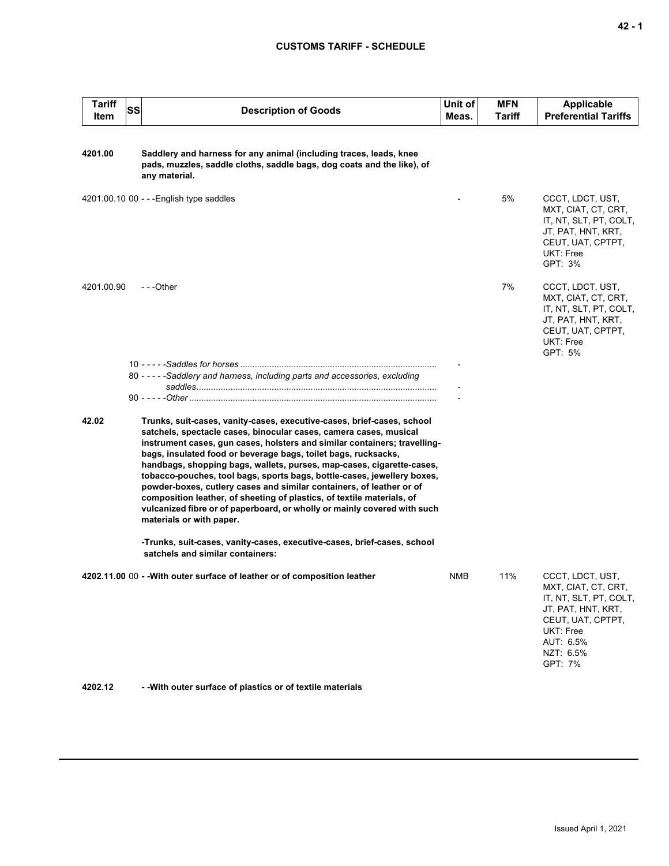| <b>Tariff</b><br>Item | SS | <b>Description of Goods</b>                                                                                                                                                                                                                                                                                                                                                                                                                                                                                                                                                                                                                                                                              | Unit of<br>Meas. | <b>MFN</b><br><b>Tariff</b> | <b>Applicable</b><br><b>Preferential Tariffs</b>                                                                                                               |
|-----------------------|----|----------------------------------------------------------------------------------------------------------------------------------------------------------------------------------------------------------------------------------------------------------------------------------------------------------------------------------------------------------------------------------------------------------------------------------------------------------------------------------------------------------------------------------------------------------------------------------------------------------------------------------------------------------------------------------------------------------|------------------|-----------------------------|----------------------------------------------------------------------------------------------------------------------------------------------------------------|
| 4201.00               |    | Saddlery and harness for any animal (including traces, leads, knee<br>pads, muzzles, saddle cloths, saddle bags, dog coats and the like), of<br>any material.                                                                                                                                                                                                                                                                                                                                                                                                                                                                                                                                            |                  |                             |                                                                                                                                                                |
|                       |    | 4201.00.10 00 - - - English type saddles                                                                                                                                                                                                                                                                                                                                                                                                                                                                                                                                                                                                                                                                 |                  | 5%                          | CCCT, LDCT, UST,<br>MXT, CIAT, CT, CRT,<br>IT, NT, SLT, PT, COLT,<br>JT, PAT, HNT, KRT,<br>CEUT, UAT, CPTPT,<br>UKT: Free<br>GPT: 3%                           |
| 4201.00.90            |    | - - -Other                                                                                                                                                                                                                                                                                                                                                                                                                                                                                                                                                                                                                                                                                               |                  | 7%                          | CCCT, LDCT, UST,<br>MXT, CIAT, CT, CRT,<br>IT, NT, SLT, PT, COLT,<br>JT, PAT, HNT, KRT,<br>CEUT, UAT, CPTPT,<br>UKT: Free<br>GPT: 5%                           |
|                       |    | 80 - - - - - Saddlery and harness, including parts and accessories, excluding                                                                                                                                                                                                                                                                                                                                                                                                                                                                                                                                                                                                                            |                  |                             |                                                                                                                                                                |
|                       |    |                                                                                                                                                                                                                                                                                                                                                                                                                                                                                                                                                                                                                                                                                                          |                  |                             |                                                                                                                                                                |
|                       |    |                                                                                                                                                                                                                                                                                                                                                                                                                                                                                                                                                                                                                                                                                                          |                  |                             |                                                                                                                                                                |
| 42.02                 |    | Trunks, suit-cases, vanity-cases, executive-cases, brief-cases, school<br>satchels, spectacle cases, binocular cases, camera cases, musical<br>instrument cases, gun cases, holsters and similar containers; travelling-<br>bags, insulated food or beverage bags, toilet bags, rucksacks,<br>handbags, shopping bags, wallets, purses, map-cases, cigarette-cases,<br>tobacco-pouches, tool bags, sports bags, bottle-cases, jewellery boxes,<br>powder-boxes, cutlery cases and similar containers, of leather or of<br>composition leather, of sheeting of plastics, of textile materials, of<br>vulcanized fibre or of paperboard, or wholly or mainly covered with such<br>materials or with paper. |                  |                             |                                                                                                                                                                |
|                       |    | -Trunks, suit-cases, vanity-cases, executive-cases, brief-cases, school<br>satchels and similar containers:                                                                                                                                                                                                                                                                                                                                                                                                                                                                                                                                                                                              |                  |                             |                                                                                                                                                                |
|                       |    | 4202.11.00 00 - - With outer surface of leather or of composition leather                                                                                                                                                                                                                                                                                                                                                                                                                                                                                                                                                                                                                                | NMB.             | 11%                         | CCCT, LDCT, UST,<br>MXT, CIAT, CT, CRT,<br>IT, NT, SLT, PT, COLT,<br>JT, PAT, HNT, KRT,<br>CEUT, UAT, CPTPT,<br>UKT: Free<br>AUT: 6.5%<br>NZT: 6.5%<br>GPT: 7% |

**4202.12 - -With outer surface of plastics or of textile materials**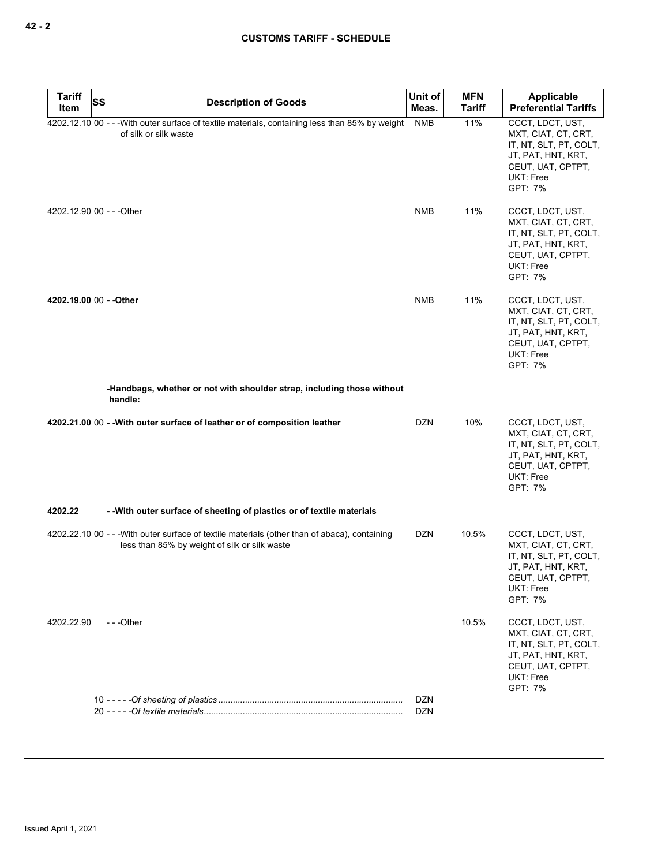| <b>Tariff</b>             | SS | <b>Description of Goods</b>                                                                                                                    | Unit of                  | <b>MFN</b>    | Applicable                                                                                                                                  |
|---------------------------|----|------------------------------------------------------------------------------------------------------------------------------------------------|--------------------------|---------------|---------------------------------------------------------------------------------------------------------------------------------------------|
| Item                      |    |                                                                                                                                                | Meas.                    | <b>Tariff</b> | <b>Preferential Tariffs</b>                                                                                                                 |
|                           |    | 4202.12.10 00 - - - With outer surface of textile materials, containing less than 85% by weight<br>of silk or silk waste                       | <b>NMB</b>               | 11%           | CCCT, LDCT, UST,<br>MXT, CIAT, CT, CRT,<br>IT, NT, SLT, PT, COLT,<br>JT, PAT, HNT, KRT,<br>CEUT, UAT, CPTPT,<br><b>UKT: Free</b><br>GPT: 7% |
| 4202.12.90 00 - - - Other |    |                                                                                                                                                | <b>NMB</b>               | 11%           | CCCT, LDCT, UST,<br>MXT, CIAT, CT, CRT,<br>IT, NT, SLT, PT, COLT,<br>JT, PAT, HNT, KRT,<br>CEUT, UAT, CPTPT,<br>UKT: Free<br>GPT: 7%        |
| 4202.19.00 00 - - Other   |    |                                                                                                                                                | <b>NMB</b>               | 11%           | CCCT, LDCT, UST,<br>MXT, CIAT, CT, CRT,<br>IT, NT, SLT, PT, COLT,<br>JT, PAT, HNT, KRT,<br>CEUT, UAT, CPTPT,<br><b>UKT: Free</b><br>GPT: 7% |
|                           |    | -Handbags, whether or not with shoulder strap, including those without<br>handle:                                                              |                          |               |                                                                                                                                             |
|                           |    | 4202.21.00 00 -- With outer surface of leather or of composition leather                                                                       | <b>DZN</b>               | 10%           | CCCT, LDCT, UST,<br>MXT, CIAT, CT, CRT,<br>IT, NT, SLT, PT, COLT,<br>JT, PAT, HNT, KRT,<br>CEUT, UAT, CPTPT,<br>UKT: Free<br>GPT: 7%        |
| 4202.22                   |    | - - With outer surface of sheeting of plastics or of textile materials                                                                         |                          |               |                                                                                                                                             |
|                           |    | 4202.22.10 00 - - - With outer surface of textile materials (other than of abaca), containing<br>less than 85% by weight of silk or silk waste | <b>DZN</b>               | 10.5%         | CCCT, LDCT, UST,<br>MXT, CIAT, CT, CRT,<br>IT, NT, SLT, PT, COLT,<br>JT, PAT, HNT, KRT,<br>CEUT, UAT, CPTPT,<br>UKT: Free<br>GPT: 7%        |
| 4202.22.90                |    | $- -$ Other                                                                                                                                    |                          | 10.5%         | CCCT, LDCT, UST,<br>MXT, CIAT, CT, CRT,<br>IT, NT, SLT, PT, COLT,<br>JT, PAT, HNT, KRT,<br>CEUT, UAT, CPTPT,<br><b>UKT: Free</b><br>GPT: 7% |
|                           |    |                                                                                                                                                | <b>DZN</b><br><b>DZN</b> |               |                                                                                                                                             |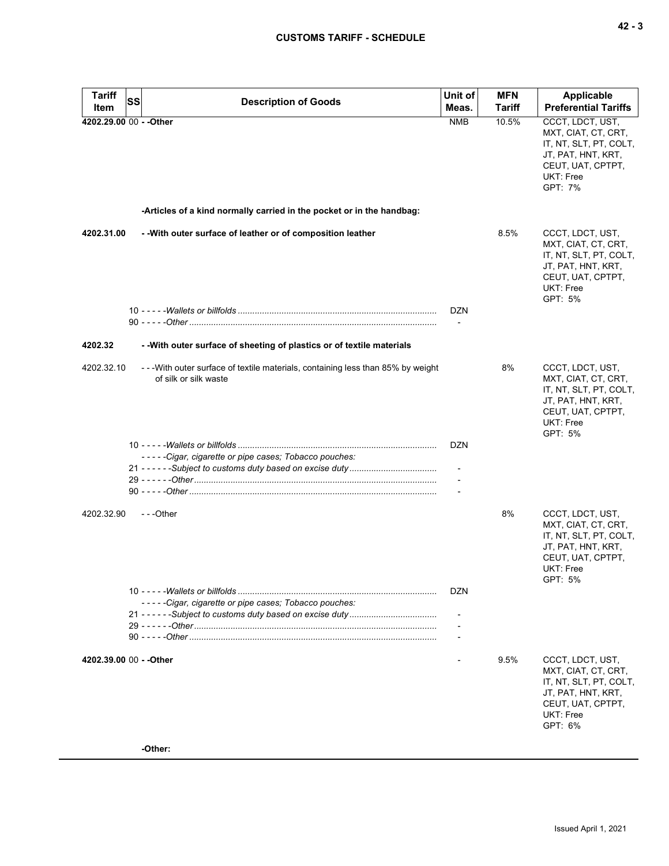| <b>Tariff</b> | SS<br><b>Description of Goods</b>                                                                        | Unit of                                | <b>MFN</b>    | Applicable                                                                                                                           |
|---------------|----------------------------------------------------------------------------------------------------------|----------------------------------------|---------------|--------------------------------------------------------------------------------------------------------------------------------------|
| Item          |                                                                                                          | Meas.                                  | <b>Tariff</b> | <b>Preferential Tariffs</b>                                                                                                          |
|               | 4202.29.00 00 - - Other                                                                                  | <b>NMB</b>                             | 10.5%         | CCCT, LDCT, UST,<br>MXT, CIAT, CT, CRT,<br>IT, NT, SLT, PT, COLT,<br>JT, PAT, HNT, KRT,<br>CEUT, UAT, CPTPT,<br>UKT: Free<br>GPT: 7% |
|               | -Articles of a kind normally carried in the pocket or in the handbag:                                    |                                        |               |                                                                                                                                      |
| 4202.31.00    | - With outer surface of leather or of composition leather                                                |                                        | 8.5%          | CCCT, LDCT, UST,<br>MXT, CIAT, CT, CRT,<br>IT, NT, SLT, PT, COLT,<br>JT, PAT, HNT, KRT,<br>CEUT, UAT, CPTPT,<br>UKT: Free<br>GPT: 5% |
|               |                                                                                                          | <b>DZN</b><br>$\overline{\phantom{a}}$ |               |                                                                                                                                      |
| 4202.32       | - - With outer surface of sheeting of plastics or of textile materials                                   |                                        |               |                                                                                                                                      |
| 4202.32.10    | --- With outer surface of textile materials, containing less than 85% by weight<br>of silk or silk waste |                                        | 8%            | CCCT, LDCT, UST,<br>MXT, CIAT, CT, CRT,<br>IT, NT, SLT, PT, COLT,<br>JT, PAT, HNT, KRT,<br>CEUT, UAT, CPTPT,<br>UKT: Free<br>GPT: 5% |
|               |                                                                                                          | DZN                                    |               |                                                                                                                                      |
|               | -----Cigar, cigarette or pipe cases; Tobacco pouches:                                                    |                                        |               |                                                                                                                                      |
|               |                                                                                                          | $\overline{\phantom{a}}$               |               |                                                                                                                                      |
|               |                                                                                                          |                                        |               |                                                                                                                                      |
| 4202.32.90    | $- -$ Other                                                                                              |                                        | 8%            | CCCT, LDCT, UST,<br>MXT, CIAT, CT, CRT,<br>IT, NT, SLT, PT, COLT,<br>JT, PAT, HNT, KRT,<br>CEUT, UAT, CPTPT,<br>UKT: Free<br>GPT: 5% |
|               | -----Cigar, cigarette or pipe cases; Tobacco pouches:                                                    | <b>DZN</b>                             |               |                                                                                                                                      |
|               |                                                                                                          |                                        |               |                                                                                                                                      |
|               |                                                                                                          |                                        |               |                                                                                                                                      |
|               |                                                                                                          |                                        |               |                                                                                                                                      |
|               | 4202.39.00 00 - - Other                                                                                  |                                        | 9.5%          | CCCT, LDCT, UST,<br>MXT, CIAT, CT, CRT,<br>IT, NT, SLT, PT, COLT,<br>JT, PAT, HNT, KRT,<br>CEUT, UAT, CPTPT,<br>UKT: Free<br>GPT: 6% |

**-Other:**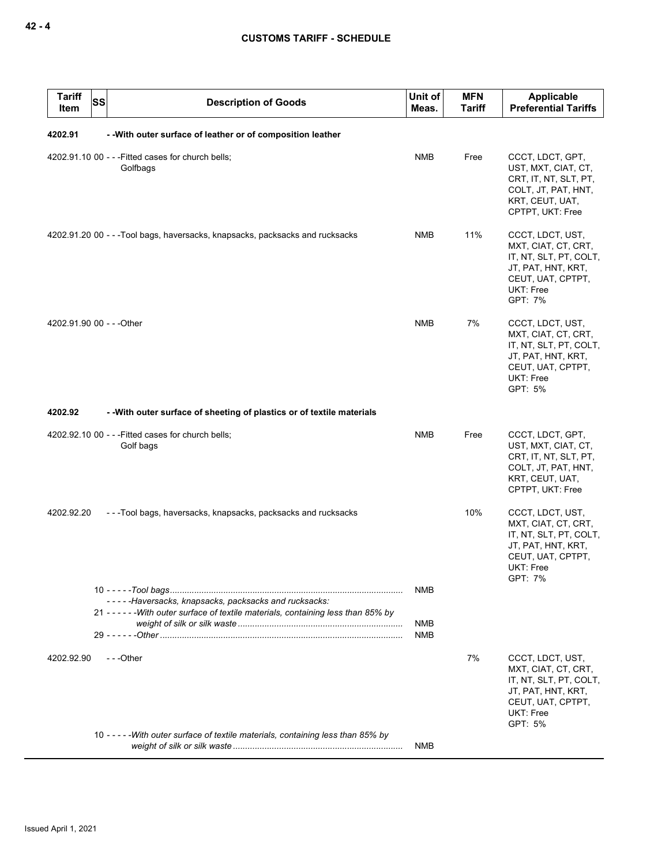| <b>Tariff</b><br><b>SS</b><br>Item | <b>Description of Goods</b>                                                         | Unit of<br>Meas. | <b>MFN</b><br>Tariff | <b>Applicable</b><br><b>Preferential Tariffs</b>                                                                                     |
|------------------------------------|-------------------------------------------------------------------------------------|------------------|----------------------|--------------------------------------------------------------------------------------------------------------------------------------|
| 4202.91                            | - - With outer surface of leather or of composition leather                         |                  |                      |                                                                                                                                      |
|                                    | 4202.91.10 00 - - - Fitted cases for church bells;<br>Golfbags                      | <b>NMB</b>       | Free                 | CCCT, LDCT, GPT,<br>UST, MXT, CIAT, CT,<br>CRT, IT, NT, SLT, PT,<br>COLT, JT, PAT, HNT,<br>KRT, CEUT, UAT,<br>CPTPT, UKT: Free       |
|                                    | 4202.91.20 00 - - -Tool bags, haversacks, knapsacks, packsacks and rucksacks        | NMB              | 11%                  | CCCT, LDCT, UST,<br>MXT, CIAT, CT, CRT,<br>IT, NT, SLT, PT, COLT,<br>JT, PAT, HNT, KRT,<br>CEUT, UAT, CPTPT,<br>UKT: Free<br>GPT: 7% |
| 4202.91.90 00 - - - Other          |                                                                                     | <b>NMB</b>       | 7%                   | CCCT, LDCT, UST,<br>MXT, CIAT, CT, CRT,<br>IT, NT, SLT, PT, COLT,<br>JT, PAT, HNT, KRT,<br>CEUT, UAT, CPTPT,<br>UKT: Free<br>GPT: 5% |
| 4202.92                            | - With outer surface of sheeting of plastics or of textile materials                |                  |                      |                                                                                                                                      |
|                                    | $4202.92.10\ 00 - -$ Fitted cases for church bells;<br>Golf bags                    | <b>NMB</b>       | Free                 | CCCT, LDCT, GPT,<br>UST, MXT, CIAT, CT,<br>CRT, IT, NT, SLT, PT,<br>COLT, JT, PAT, HNT,<br>KRT, CEUT, UAT,<br>CPTPT, UKT: Free       |
| 4202.92.20                         | ---Tool bags, haversacks, knapsacks, packsacks and rucksacks                        |                  | 10%                  | CCCT, LDCT, UST,<br>MXT, CIAT, CT, CRT,<br>IT, NT, SLT, PT, COLT,<br>JT, PAT, HNT, KRT,<br>CEUT, UAT, CPTPT,<br>UKT: Free<br>GPT: 7% |
|                                    | -----Haversacks, knapsacks, packsacks and rucksacks:                                | <b>NMB</b>       |                      |                                                                                                                                      |
|                                    | 21 - - - - - - With outer surface of textile materials, containing less than 85% by |                  |                      |                                                                                                                                      |
|                                    |                                                                                     | NMB<br>NMB       |                      |                                                                                                                                      |
| 4202.92.90                         | ---Other                                                                            |                  | 7%                   | CCCT, LDCT, UST,<br>MXT, CIAT, CT, CRT,<br>IT, NT, SLT, PT, COLT,<br>JT, PAT, HNT, KRT,<br>CEUT, UAT, CPTPT,<br>UKT: Free<br>GPT: 5% |
|                                    | 10 - - - - - With outer surface of textile materials, containing less than 85% by   | <b>NMB</b>       |                      |                                                                                                                                      |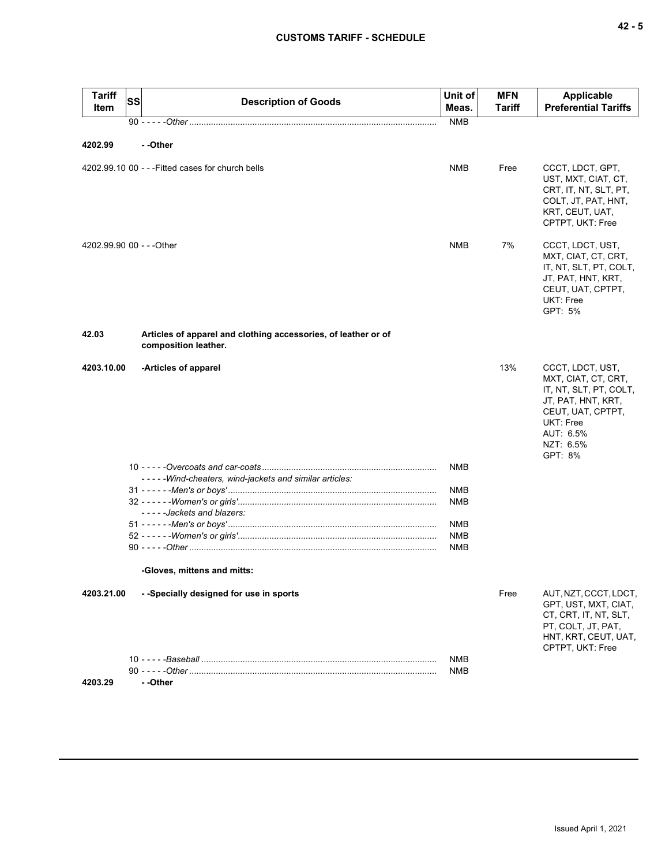| <b>Tariff</b><br>Item     | <b>SS</b> | <b>Description of Goods</b>                                                            | Unit of<br>Meas.         | <b>MFN</b><br>Tariff | <b>Applicable</b><br><b>Preferential Tariffs</b>                                                                                                               |
|---------------------------|-----------|----------------------------------------------------------------------------------------|--------------------------|----------------------|----------------------------------------------------------------------------------------------------------------------------------------------------------------|
|                           |           |                                                                                        | <b>NMB</b>               |                      |                                                                                                                                                                |
| 4202.99                   |           | - -Other                                                                               |                          |                      |                                                                                                                                                                |
|                           |           | 4202.99.10 00 - - - Fitted cases for church bells                                      | <b>NMB</b>               | Free                 | CCCT, LDCT, GPT,<br>UST, MXT, CIAT, CT,<br>CRT, IT, NT, SLT, PT,<br>COLT, JT, PAT, HNT,<br>KRT, CEUT, UAT,<br>CPTPT, UKT: Free                                 |
| 4202.99.90 00 - - - Other |           |                                                                                        | <b>NMB</b>               | 7%                   | CCCT, LDCT, UST,<br>MXT, CIAT, CT, CRT,<br>IT, NT, SLT, PT, COLT,<br>JT, PAT, HNT, KRT,<br>CEUT, UAT, CPTPT,<br>UKT: Free<br>GPT: 5%                           |
| 42.03                     |           | Articles of apparel and clothing accessories, of leather or of<br>composition leather. |                          |                      |                                                                                                                                                                |
| 4203.10.00                |           | -Articles of apparel                                                                   |                          | 13%                  | CCCT, LDCT, UST,<br>MXT, CIAT, CT, CRT,<br>IT, NT, SLT, PT, COLT,<br>JT, PAT, HNT, KRT,<br>CEUT, UAT, CPTPT,<br>UKT: Free<br>AUT: 6.5%<br>NZT: 6.5%<br>GPT: 8% |
|                           |           | -----Wind-cheaters, wind-jackets and similar articles:                                 | NMB                      |                      |                                                                                                                                                                |
|                           |           | -----Jackets and blazers:                                                              | NMB<br><b>NMB</b>        |                      |                                                                                                                                                                |
|                           |           |                                                                                        | <b>NMB</b>               |                      |                                                                                                                                                                |
|                           |           |                                                                                        | <b>NMB</b><br><b>NMB</b> |                      |                                                                                                                                                                |
|                           |           | -Gloves, mittens and mitts:                                                            |                          |                      |                                                                                                                                                                |
| 4203.21.00                |           | - - Specially designed for use in sports                                               |                          | Free                 | AUT, NZT, CCCT, LDCT,<br>GPT, UST, MXT, CIAT,<br>CT, CRT, IT, NT, SLT,<br>PT, COLT, JT, PAT,<br>HNT, KRT, CEUT, UAT,<br>CPTPT, UKT: Free                       |
|                           |           |                                                                                        | <b>NMB</b><br>NMB        |                      |                                                                                                                                                                |

**4203.29 - -Other**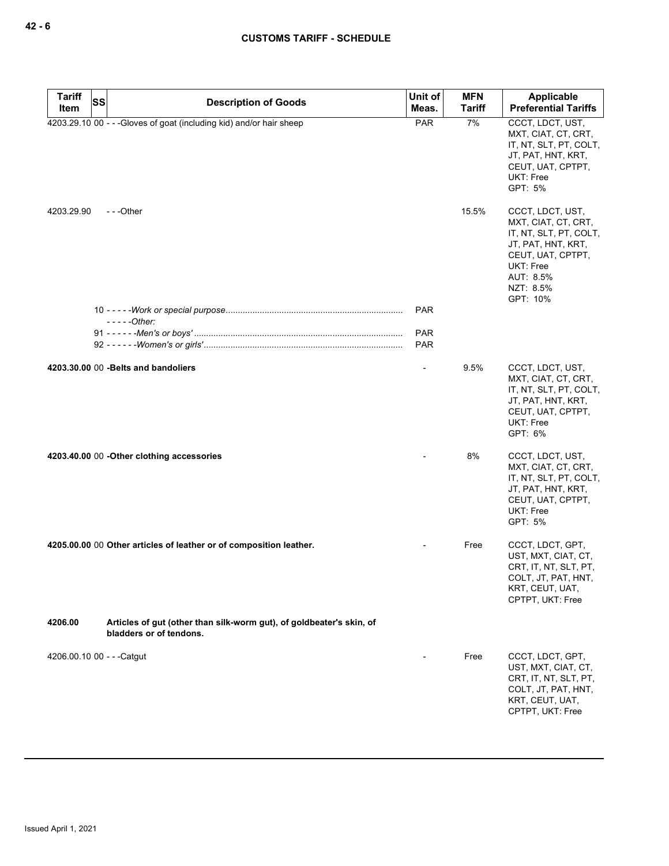| <b>Tariff</b><br><b>SS</b> | <b>Description of Goods</b>                                                                     | Unit of                  | <b>MFN</b>    | Applicable                                                                                                                                                      |
|----------------------------|-------------------------------------------------------------------------------------------------|--------------------------|---------------|-----------------------------------------------------------------------------------------------------------------------------------------------------------------|
| Item                       |                                                                                                 | Meas.                    | <b>Tariff</b> | <b>Preferential Tariffs</b>                                                                                                                                     |
|                            | 4203.29.10 00 - - - Gloves of goat (including kid) and/or hair sheep                            | <b>PAR</b>               | 7%            | CCCT, LDCT, UST,<br>MXT, CIAT, CT, CRT,<br>IT, NT, SLT, PT, COLT,<br>JT, PAT, HNT, KRT,<br>CEUT, UAT, CPTPT,<br>UKT: Free<br>GPT: 5%                            |
| 4203.29.90                 | $- -$ Other                                                                                     |                          | 15.5%         | CCCT, LDCT, UST,<br>MXT, CIAT, CT, CRT,<br>IT, NT, SLT, PT, COLT,<br>JT, PAT, HNT, KRT,<br>CEUT, UAT, CPTPT,<br>UKT: Free<br>AUT: 8.5%<br>NZT: 8.5%<br>GPT: 10% |
|                            |                                                                                                 | <b>PAR</b>               |               |                                                                                                                                                                 |
|                            | $---Other:$                                                                                     |                          |               |                                                                                                                                                                 |
|                            |                                                                                                 | <b>PAR</b><br><b>PAR</b> |               |                                                                                                                                                                 |
|                            |                                                                                                 |                          |               |                                                                                                                                                                 |
|                            | 4203.30.00 00 - Belts and bandoliers                                                            | $\overline{\phantom{a}}$ | 9.5%          | CCCT, LDCT, UST,<br>MXT, CIAT, CT, CRT,<br>IT, NT, SLT, PT, COLT,<br>JT, PAT, HNT, KRT,<br>CEUT, UAT, CPTPT,<br>UKT: Free<br>GPT: 6%                            |
|                            | 4203.40.00 00 -Other clothing accessories                                                       |                          | 8%            | CCCT, LDCT, UST,<br>MXT, CIAT, CT, CRT,<br>IT, NT, SLT, PT, COLT,<br>JT, PAT, HNT, KRT,<br>CEUT, UAT, CPTPT,<br><b>UKT: Free</b><br>GPT: 5%                     |
|                            | 4205.00.00 00 Other articles of leather or of composition leather.                              |                          | Free          | CCCT, LDCT, GPT,<br>UST, MXT, CIAT, CT,<br>CRT, IT, NT, SLT, PT,<br>COLT, JT, PAT, HNT,<br>KRT, CEUT, UAT,<br>CPTPT, UKT: Free                                  |
| 4206.00                    | Articles of gut (other than silk-worm gut), of goldbeater's skin, of<br>bladders or of tendons. |                          |               |                                                                                                                                                                 |
| 4206.00.10 00 - - - Catgut |                                                                                                 |                          | Free          | CCCT, LDCT, GPT,<br>UST, MXT, CIAT, CT,<br>CRT, IT, NT, SLT, PT,<br>COLT, JT, PAT, HNT,<br>KRT, CEUT, UAT,<br>CPTPT, UKT: Free                                  |